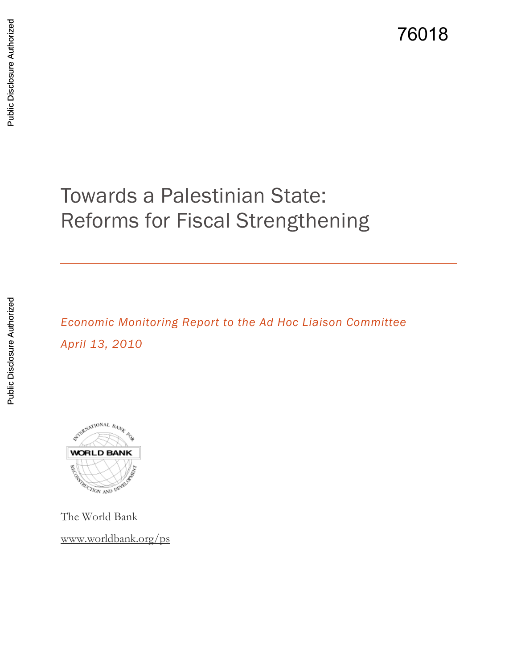76018

# Towards a Palestinian State: Reforms for Fiscal Strengthening

*Economic Monitoring Report to the Ad Hoc Liaison Committee April 13, 2010*



The World Bank [www.worldbank.org/ps](http://www.worldbank.org/ps)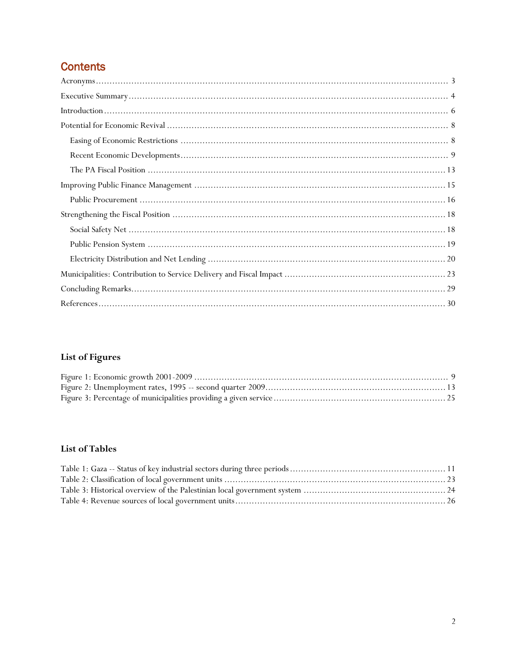# **Contents**

# **List of Figures**

### **List of Tables**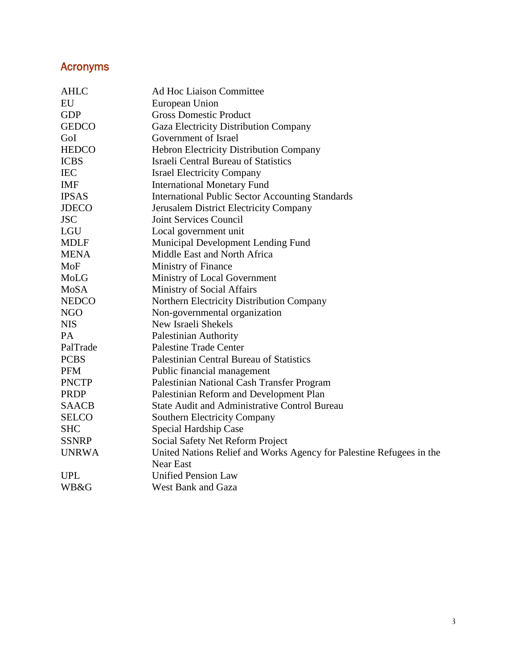# <span id="page-2-0"></span>Acronyms

| <b>AHLC</b>  | <b>Ad Hoc Liaison Committee</b>                                      |  |  |  |  |
|--------------|----------------------------------------------------------------------|--|--|--|--|
| EU           | European Union                                                       |  |  |  |  |
| <b>GDP</b>   | <b>Gross Domestic Product</b>                                        |  |  |  |  |
| <b>GEDCO</b> | Gaza Electricity Distribution Company                                |  |  |  |  |
| GoI          | Government of Israel                                                 |  |  |  |  |
| <b>HEDCO</b> | Hebron Electricity Distribution Company                              |  |  |  |  |
| <b>ICBS</b>  | <b>Israeli Central Bureau of Statistics</b>                          |  |  |  |  |
| <b>IEC</b>   | <b>Israel Electricity Company</b>                                    |  |  |  |  |
| <b>IMF</b>   | <b>International Monetary Fund</b>                                   |  |  |  |  |
| <b>IPSAS</b> | <b>International Public Sector Accounting Standards</b>              |  |  |  |  |
| <b>JDECO</b> | Jerusalem District Electricity Company                               |  |  |  |  |
| <b>JSC</b>   | Joint Services Council                                               |  |  |  |  |
| LGU          | Local government unit                                                |  |  |  |  |
| <b>MDLF</b>  | Municipal Development Lending Fund                                   |  |  |  |  |
| <b>MENA</b>  | Middle East and North Africa                                         |  |  |  |  |
| MoF          | Ministry of Finance                                                  |  |  |  |  |
| MoLG         | Ministry of Local Government                                         |  |  |  |  |
| MoSA         | Ministry of Social Affairs                                           |  |  |  |  |
| <b>NEDCO</b> | Northern Electricity Distribution Company                            |  |  |  |  |
| <b>NGO</b>   | Non-governmental organization                                        |  |  |  |  |
| <b>NIS</b>   | New Israeli Shekels                                                  |  |  |  |  |
| PA           | Palestinian Authority                                                |  |  |  |  |
| PalTrade     | <b>Palestine Trade Center</b>                                        |  |  |  |  |
| <b>PCBS</b>  | Palestinian Central Bureau of Statistics                             |  |  |  |  |
| <b>PFM</b>   | Public financial management                                          |  |  |  |  |
| <b>PNCTP</b> | Palestinian National Cash Transfer Program                           |  |  |  |  |
| <b>PRDP</b>  | Palestinian Reform and Development Plan                              |  |  |  |  |
| <b>SAACB</b> | <b>State Audit and Administrative Control Bureau</b>                 |  |  |  |  |
| <b>SELCO</b> | Southern Electricity Company                                         |  |  |  |  |
| <b>SHC</b>   | Special Hardship Case                                                |  |  |  |  |
| <b>SSNRP</b> | Social Safety Net Reform Project                                     |  |  |  |  |
| <b>UNRWA</b> | United Nations Relief and Works Agency for Palestine Refugees in the |  |  |  |  |
|              | <b>Near East</b>                                                     |  |  |  |  |
| <b>UPL</b>   | <b>Unified Pension Law</b>                                           |  |  |  |  |
| WB&G         | West Bank and Gaza                                                   |  |  |  |  |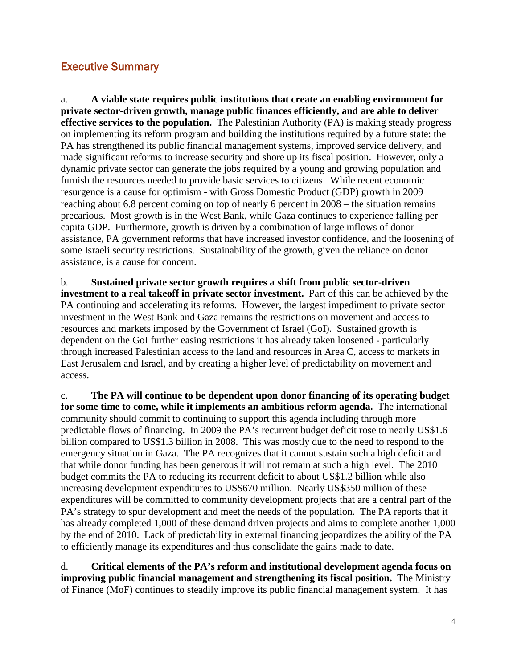# <span id="page-3-0"></span>Executive Summary

a. **A viable state requires public institutions that create an enabling environment for private sector-driven growth, manage public finances efficiently, and are able to deliver effective services to the population.** The Palestinian Authority (PA) is making steady progress on implementing its reform program and building the institutions required by a future state: the PA has strengthened its public financial management systems, improved service delivery, and made significant reforms to increase security and shore up its fiscal position. However, only a dynamic private sector can generate the jobs required by a young and growing population and furnish the resources needed to provide basic services to citizens. While recent economic resurgence is a cause for optimism - with Gross Domestic Product (GDP) growth in 2009 reaching about 6.8 percent coming on top of nearly 6 percent in 2008 – the situation remains precarious. Most growth is in the West Bank, while Gaza continues to experience falling per capita GDP. Furthermore, growth is driven by a combination of large inflows of donor assistance, PA government reforms that have increased investor confidence, and the loosening of some Israeli security restrictions. Sustainability of the growth, given the reliance on donor assistance, is a cause for concern.

b. **Sustained private sector growth requires a shift from public sector-driven investment to a real takeoff in private sector investment.** Part of this can be achieved by the PA continuing and accelerating its reforms. However, the largest impediment to private sector investment in the West Bank and Gaza remains the restrictions on movement and access to resources and markets imposed by the Government of Israel (GoI). Sustained growth is dependent on the GoI further easing restrictions it has already taken loosened - particularly through increased Palestinian access to the land and resources in Area C, access to markets in East Jerusalem and Israel, and by creating a higher level of predictability on movement and access.

c. **The PA will continue to be dependent upon donor financing of its operating budget for some time to come, while it implements an ambitious reform agenda.** The international community should commit to continuing to support this agenda including through more predictable flows of financing. In 2009 the PA's recurrent budget deficit rose to nearly US\$1.6 billion compared to US\$1.3 billion in 2008. This was mostly due to the need to respond to the emergency situation in Gaza. The PA recognizes that it cannot sustain such a high deficit and that while donor funding has been generous it will not remain at such a high level. The 2010 budget commits the PA to reducing its recurrent deficit to about US\$1.2 billion while also increasing development expenditures to US\$670 million. Nearly US\$350 million of these expenditures will be committed to community development projects that are a central part of the PA's strategy to spur development and meet the needs of the population. The PA reports that it has already completed 1,000 of these demand driven projects and aims to complete another 1,000 by the end of 2010. Lack of predictability in external financing jeopardizes the ability of the PA to efficiently manage its expenditures and thus consolidate the gains made to date.

d. **Critical elements of the PA's reform and institutional development agenda focus on improving public financial management and strengthening its fiscal position.** The Ministry of Finance (MoF) continues to steadily improve its public financial management system.It has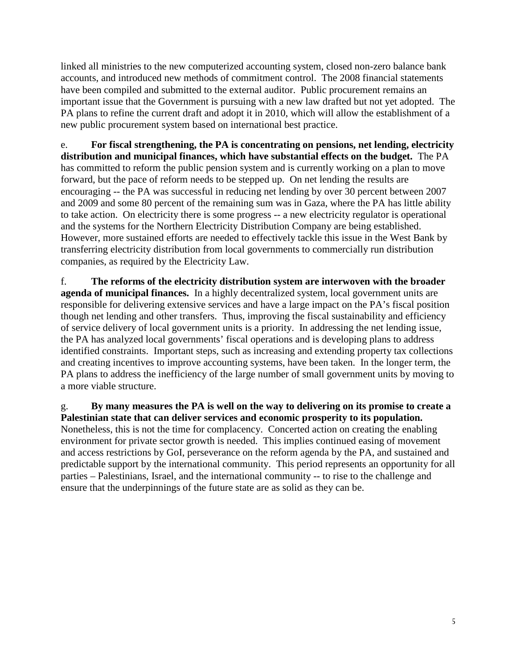linked all ministries to the new computerized accounting system, closed non-zero balance bank accounts, and introduced new methods of commitment control. The 2008 financial statements have been compiled and submitted to the external auditor. Public procurement remains an important issue that the Government is pursuing with a new law drafted but not yet adopted. The PA plans to refine the current draft and adopt it in 2010, which will allow the establishment of a new public procurement system based on international best practice.

e. **For fiscal strengthening, the PA is concentrating on pensions, net lending, electricity distribution and municipal finances, which have substantial effects on the budget.** The PA has committed to reform the public pension system and is currently working on a plan to move forward, but the pace of reform needs to be stepped up. On net lending the results are encouraging -- the PA was successful in reducing net lending by over 30 percent between 2007 and 2009 and some 80 percent of the remaining sum was in Gaza, where the PA has little ability to take action. On electricity there is some progress -- a new electricity regulator is operational and the systems for the Northern Electricity Distribution Company are being established. However, more sustained efforts are needed to effectively tackle this issue in the West Bank by transferring electricity distribution from local governments to commercially run distribution companies, as required by the Electricity Law.

f. **The reforms of the electricity distribution system are interwoven with the broader agenda of municipal finances.** In a highly decentralized system, local government units are responsible for delivering extensive services and have a large impact on the PA's fiscal position though net lending and other transfers. Thus, improving the fiscal sustainability and efficiency of service delivery of local government units is a priority. In addressing the net lending issue, the PA has analyzed local governments' fiscal operations and is developing plans to address identified constraints. Important steps, such as increasing and extending property tax collections and creating incentives to improve accounting systems, have been taken. In the longer term, the PA plans to address the inefficiency of the large number of small government units by moving to a more viable structure.

g. **By many measures the PA is well on the way to delivering on its promise to create a Palestinian state that can deliver services and economic prosperity to its population.** Nonetheless, this is not the time for complacency. Concerted action on creating the enabling environment for private sector growth is needed. This implies continued easing of movement and access restrictions by GoI, perseverance on the reform agenda by the PA, and sustained and predictable support by the international community. This period represents an opportunity for all parties – Palestinians, Israel, and the international community -- to rise to the challenge and ensure that the underpinnings of the future state are as solid as they can be.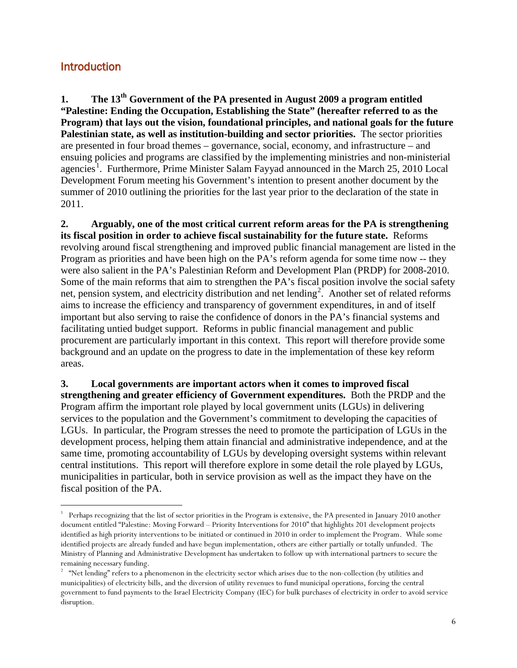# <span id="page-5-0"></span>**Introduction**

**1. The 13th Government of the PA presented in August 2009 a program entitled "Palestine: Ending the Occupation, Establishing the State" (hereafter referred to as the Program) that lays out the vision, foundational principles, and national goals for the future Palestinian state, as well as institution-building and sector priorities.** The sector priorities are presented in four broad themes – governance, social, economy, and infrastructure – and ensuing policies and programs are classified by the implementing ministries and non-ministerial agencies<sup>[1](#page-5-1)</sup>. Furthermore, Prime Minister Salam Fayyad announced in the March 25, 2010 Local Development Forum meeting his Government's intention to present another document by the summer of 2010 outlining the priorities for the last year prior to the declaration of the state in 2011.

**2. Arguably, one of the most critical current reform areas for the PA is strengthening its fiscal position in order to achieve fiscal sustainability for the future state.** Reforms revolving around fiscal strengthening and improved public financial management are listed in the Program as priorities and have been high on the PA's reform agenda for some time now -- they were also salient in the PA's Palestinian Reform and Development Plan (PRDP) for 2008-2010. Some of the main reforms that aim to strengthen the PA's fiscal position involve the social safety net, pension system, and electricity distribution and net lending<sup>[2](#page-5-2)</sup>. Another set of related reforms aims to increase the efficiency and transparency of government expenditures, in and of itself important but also serving to raise the confidence of donors in the PA's financial systems and facilitating untied budget support. Reforms in public financial management and public procurement are particularly important in this context. This report will therefore provide some background and an update on the progress to date in the implementation of these key reform areas.

**3. Local governments are important actors when it comes to improved fiscal strengthening and greater efficiency of Government expenditures.** Both the PRDP and the Program affirm the important role played by local government units (LGUs) in delivering services to the population and the Government's commitment to developing the capacities of LGUs.In particular, the Program stresses the need to promote the participation of LGUs in the development process, helping them attain financial and administrative independence, and at the same time, promoting accountability of LGUs by developing oversight systems within relevant central institutions. This report will therefore explore in some detail the role played by LGUs, municipalities in particular, both in service provision as well as the impact they have on the fiscal position of the PA.

<span id="page-5-1"></span><sup>|&</sup>lt;br>|<br>| <sup>1</sup> Perhaps recognizing that the list of sector priorities in the Program is extensive, the PA presented in January 2010 another document entitled "Palestine: Moving Forward – Priority Interventions for 2010" that highlights 201 development projects identified as high priority interventions to be initiated or continued in 2010 in order to implement the Program. While some identified projects are already funded and have begun implementation, others are either partially or totally unfunded. The Ministry of Planning and Administrative Development has undertaken to follow up with international partners to secure the remaining necessary funding.

<span id="page-5-2"></span><sup>&</sup>lt;sup>2</sup> "Net lending" refers to a phenomenon in the electricity sector which arises due to the non-collection (by utilities and municipalities) of electricity bills, and the diversion of utility revenues to fund municipal operations, forcing the central government to fund payments to the Israel Electricity Company (IEC) for bulk purchases of electricity in order to avoid service disruption.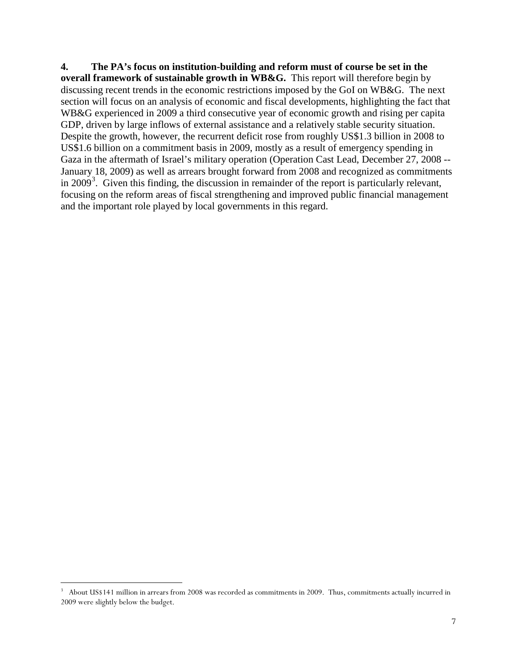**4. The PA's focus on institution-building and reform must of course be set in the overall framework of sustainable growth in WB&G.** This report will therefore begin by discussing recent trends in the economic restrictions imposed by the GoI on WB&G. The next section will focus on an analysis of economic and fiscal developments, highlighting the fact that WB&G experienced in 2009 a third consecutive year of economic growth and rising per capita GDP, driven by large inflows of external assistance and a relatively stable security situation. Despite the growth, however, the recurrent deficit rose from roughly US\$1.3 billion in 2008 to US\$1.6 billion on a commitment basis in 2009, mostly as a result of emergency spending in Gaza in the aftermath of Israel's military operation (Operation Cast Lead, December 27, 2008 -- January 18, 2009) as well as arrears brought forward from 2008 and recognized as commitments in 2009<sup>[3](#page-6-0)</sup>. Given this finding, the discussion in remainder of the report is particularly relevant, focusing on the reform areas of fiscal strengthening and improved public financial management and the important role played by local governments in this regard.

<span id="page-6-0"></span><sup>&</sup>lt;sup>2</sup><br>3  $3$  About US\$141 million in arrears from 2008 was recorded as commitments in 2009. Thus, commitments actually incurred in 2009 were slightly below the budget.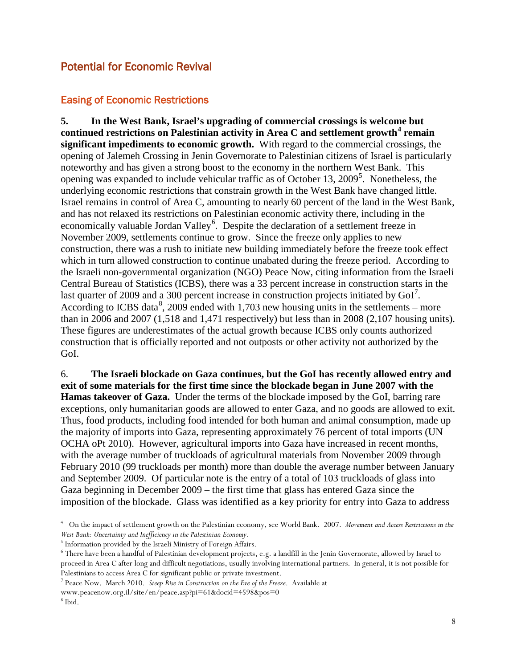# <span id="page-7-0"></span>Potential for Economic Revival

### <span id="page-7-1"></span>Easing of Economic Restrictions

**5. In the West Bank, Israel's upgrading of commercial crossings is welcome but continued restrictions on Palestinian activity in Area C and settlement growth[4](#page-7-2) remain significant impediments to economic growth.** With regard to the commercial crossings, the opening of Jalemeh Crossing in Jenin Governorate to Palestinian citizens of Israel is particularly noteworthy and has given a strong boost to the economy in the northern West Bank. This opening was expanded to include vehicular traffic as of October 13, 2009<sup>[5](#page-7-3)</sup>. Nonetheless, the underlying economic restrictions that constrain growth in the West Bank have changed little. Israel remains in control of Area C, amounting to nearly 60 percent of the land in the West Bank, and has not relaxed its restrictions on Palestinian economic activity there, including in the economically valuable Jordan Valley<sup>[6](#page-7-4)</sup>. Despite the declaration of a settlement freeze in November 2009, settlements continue to grow. Since the freeze only applies to new construction, there was a rush to initiate new building immediately before the freeze took effect which in turn allowed construction to continue unabated during the freeze period. According to the Israeli non-governmental organization (NGO) Peace Now, citing information from the Israeli Central Bureau of Statistics (ICBS), there was a 33 percent increase in construction starts in the last quarter of 2009 and a 300 percent increase in construction projects initiated by  $GoI^7$  $GoI^7$ . According to ICBS data $8$ , 2009 ended with 1,703 new housing units in the settlements – more than in 2006 and 2007 (1,518 and 1,471 respectively) but less than in 2008 (2,107 housing units). These figures are underestimates of the actual growth because ICBS only counts authorized construction that is officially reported and not outposts or other activity not authorized by the GoI.

6. **The Israeli blockade on Gaza continues, but the GoI has recently allowed entry and exit of some materials for the first time since the blockade began in June 2007 with the Hamas takeover of Gaza.** Under the terms of the blockade imposed by the GoI, barring rare exceptions, only humanitarian goods are allowed to enter Gaza, and no goods are allowed to exit. Thus, food products, including food intended for both human and animal consumption, made up the majority of imports into Gaza, representing approximately 76 percent of total imports (UN OCHA oPt 2010). However, agricultural imports into Gaza have increased in recent months, with the average number of truckloads of agricultural materials from November 2009 through February 2010 (99 truckloads per month) more than double the average number between January and September 2009. Of particular note is the entry of a total of 103 truckloads of glass into Gaza beginning in December 2009 – the first time that glass has entered Gaza since the imposition of the blockade. Glass was identified as a key priority for entry into Gaza to address

<span id="page-7-2"></span> $\frac{1}{4}$  On the impact of settlement growth on the Palestinian economy, see World Bank. 2007. *Movement and Access Restrictions in the West Bank: Uncertainty and Inefficiency in the Palestinian Economy.*

<span id="page-7-3"></span><sup>&</sup>lt;sup>5</sup> Information provided by the Israeli Ministry of Foreign Affairs.

<span id="page-7-4"></span><sup>6</sup> There have been a handful of Palestinian development projects, e.g. a landfill in the Jenin Governorate, allowed by Israel to proceed in Area C after long and difficult negotiations, usually involving international partners. In general, it is not possible for Palestinians to access Area C for significant public or private investment.

<span id="page-7-5"></span><sup>7</sup> Peace Now. March 2010. *Steep Rise in Construction on the Eve of the Freeze*. Available at

www.peacenow.org.il/site/en/peace.asp?pi=61&docid=4598&pos=0

<span id="page-7-6"></span><sup>8</sup> Ibid.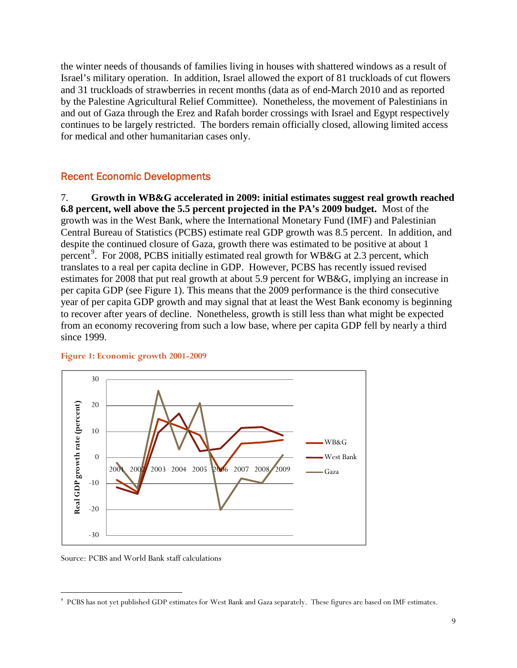the winter needs of thousands of families living in houses with shattered windows as a result of Israel's military operation. In addition, Israel allowed the export of 81 truckloads of cut flowers and 31 truckloads of strawberries in recent months (data as of end-March 2010 and as reported by the Palestine Agricultural Relief Committee). Nonetheless, the movement of Palestinians in and out of Gaza through the Erez and Rafah border crossings with Israel and Egypt respectively continues to be largely restricted. The borders remain officially closed, allowing limited access for medical and other humanitarian cases only.

#### <span id="page-8-0"></span>Recent Economic Developments

7. **Growth in WB&G accelerated in 2009: initial estimates suggest real growth reached 6.8 percent, well above the 5.5 percent projected in the PA's 2009 budget.** Most of the growth was in the West Bank, where the International Monetary Fund (IMF) and Palestinian Central Bureau of Statistics (PCBS) estimate real GDP growth was 8.5 percent. In addition, and despite the continued closure of Gaza, growth there was estimated to be positive at about 1 percent<sup>[9](#page-8-2)</sup>. For 2008, PCBS initially estimated real growth for WB&G at 2.3 percent, which translates to a real per capita decline in GDP. However, PCBS has recently issued revised estimates for 2008 that put real growth at about 5.9 percent for WB&G, implying an increase in per capita GDP (see Figure 1). This means that the 2009 performance is the third consecutive year of per capita GDP growth and may signal that at least the West Bank economy is beginning to recover after years of decline. Nonetheless, growth is still less than what might be expected from an economy recovering from such a low base, where per capita GDP fell by nearly a third since 1999.



#### <span id="page-8-1"></span>**Figure 1: Economic growth 2001-2009**

Source: PCBS and World Bank staff calculations

<span id="page-8-2"></span><sup>-&</sup>lt;br>9 PCBS has not yet published GDP estimates for West Bank and Gaza separately. These figures are based on IMF estimates.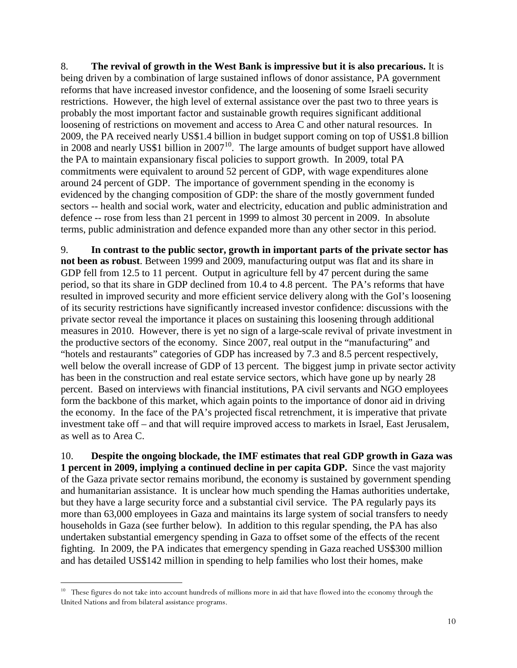8. **The revival of growth in the West Bank is impressive but it is also precarious.** It is being driven by a combination of large sustained inflows of donor assistance, PA government reforms that have increased investor confidence, and the loosening of some Israeli security restrictions. However, the high level of external assistance over the past two to three years is probably the most important factor and sustainable growth requires significant additional loosening of restrictions on movement and access to Area C and other natural resources. In 2009, the PA received nearly US\$1.4 billion in budget support coming on top of US\$1.8 billion in 2008 and nearly US\$1 billion in  $2007<sup>10</sup>$  $2007<sup>10</sup>$  $2007<sup>10</sup>$ . The large amounts of budget support have allowed the PA to maintain expansionary fiscal policies to support growth. In 2009, total PA commitments were equivalent to around 52 percent of GDP, with wage expenditures alone around 24 percent of GDP. The importance of government spending in the economy is evidenced by the changing composition of GDP: the share of the mostly government funded sectors -- health and social work, water and electricity, education and public administration and defence -- rose from less than 21 percent in 1999 to almost 30 percent in 2009. In absolute terms, public administration and defence expanded more than any other sector in this period.

9. **In contrast to the public sector, growth in important parts of the private sector has not been as robust**. Between 1999 and 2009, manufacturing output was flat and its share in GDP fell from 12.5 to 11 percent. Output in agriculture fell by 47 percent during the same period, so that its share in GDP declined from 10.4 to 4.8 percent. The PA's reforms that have resulted in improved security and more efficient service delivery along with the GoI's loosening of its security restrictions have significantly increased investor confidence: discussions with the private sector reveal the importance it places on sustaining this loosening through additional measures in 2010. However, there is yet no sign of a large-scale revival of private investment in the productive sectors of the economy. Since 2007, real output in the "manufacturing" and "hotels and restaurants" categories of GDP has increased by 7.3 and 8.5 percent respectively, well below the overall increase of GDP of 13 percent. The biggest jump in private sector activity has been in the construction and real estate service sectors, which have gone up by nearly 28 percent. Based on interviews with financial institutions, PA civil servants and NGO employees form the backbone of this market, which again points to the importance of donor aid in driving the economy. In the face of the PA's projected fiscal retrenchment, it is imperative that private investment take off – and that will require improved access to markets in Israel, East Jerusalem, as well as to Area C.

10. **Despite the ongoing blockade, the IMF estimates that real GDP growth in Gaza was 1 percent in 2009, implying a continued decline in per capita GDP.** Since the vast majority of the Gaza private sector remains moribund, the economy is sustained by government spending and humanitarian assistance. It is unclear how much spending the Hamas authorities undertake, but they have a large security force and a substantial civil service. The PA regularly pays its more than 63,000 employees in Gaza and maintains its large system of social transfers to needy households in Gaza (see further below). In addition to this regular spending, the PA has also undertaken substantial emergency spending in Gaza to offset some of the effects of the recent fighting. In 2009, the PA indicates that emergency spending in Gaza reached US\$300 million and has detailed US\$142 million in spending to help families who lost their homes, make

<span id="page-9-0"></span><sup>&</sup>lt;sup>10</sup> These figures do not take into account hundreds of millions more in aid that have flowed into the economy through the United Nations and from bilateral assistance programs.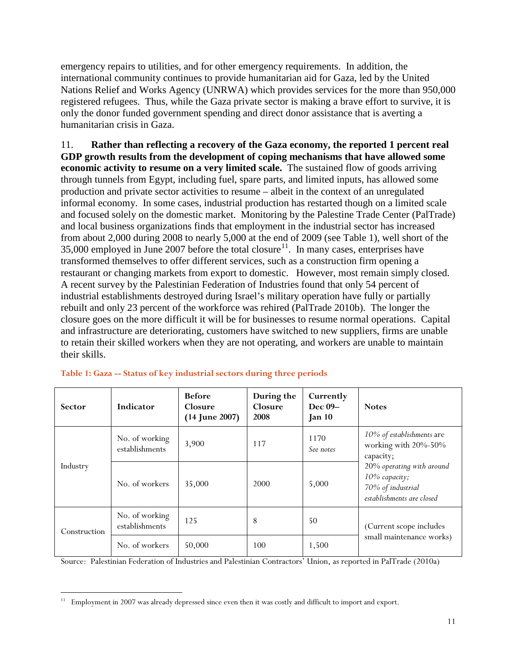emergency repairs to utilities, and for other emergency requirements. In addition, the international community continues to provide humanitarian aid for Gaza, led by the United Nations Relief and Works Agency (UNRWA) which provides services for the more than 950,000 registered refugees. Thus, while the Gaza private sector is making a brave effort to survive, it is only the donor funded government spending and direct donor assistance that is averting a humanitarian crisis in Gaza.

11. **Rather than reflecting a recovery of the Gaza economy, the reported 1 percent real GDP growth results from the development of coping mechanisms that have allowed some economic activity to resume on a very limited scale.** The sustained flow of goods arriving through tunnels from Egypt, including fuel, spare parts, and limited inputs, has allowed some production and private sector activities to resume – albeit in the context of an unregulated informal economy.In some cases, industrial production has restarted though on a limited scale and focused solely on the domestic market. Monitoring by the Palestine Trade Center (PalTrade) and local business organizations finds that employment in the industrial sector has increased from about 2,000 during 2008 to nearly 5,000 at the end of 2009 (see Table 1), well short of the 35,000 employed in June 2007 before the total closure<sup>[11](#page-10-1)</sup>. In many cases, enterprises have transformed themselves to offer different services, such as a construction firm opening a restaurant or changing markets from export to domestic. However, most remain simply closed. A recent survey by the Palestinian Federation of Industries found that only 54 percent of industrial establishments destroyed during Israel's military operation have fully or partially rebuilt and only 23 percent of the workforce was rehired (PalTrade 2010b). The longer the closure goes on the more difficult it will be for businesses to resume normal operations. Capital and infrastructure are deteriorating, customers have switched to new suppliers, firms are unable to retain their skilled workers when they are not operating, and workers are unable to maintain their skills.

| <b>Sector</b> | Indicator                               | <b>Before</b><br>Closure<br>$(14$ June 2007) | During the<br>Closure<br>2008 | Currently<br>Dec 09-<br>$\rm{Jan}$ 10 | <b>Notes</b>                                                                                 |  |
|---------------|-----------------------------------------|----------------------------------------------|-------------------------------|---------------------------------------|----------------------------------------------------------------------------------------------|--|
|               | No. of working<br>establishments        | 3,900                                        | 117                           | 1170<br>See notes                     | 10% of establishments are<br>working with 20%-50%<br>capacity;                               |  |
| Industry      | No. of workers                          | 35,000                                       | 2000                          | 5,000                                 | 20% operating with around<br>10% capacity;<br>70% of industrial<br>establishments are closed |  |
| Construction  | No. of working<br>125<br>establishments |                                              | 8                             | 50                                    | (Current scope includes                                                                      |  |
|               | No. of workers                          | 50,000                                       | 100                           | 1,500                                 | small maintenance works)                                                                     |  |

#### <span id="page-10-0"></span>**Table 1: Gaza -- Status of key industrial sectors during three periods**

Source: Palestinian Federation of Industries and Palestinian Contractors' Union, as reported in PalTrade (2010a)

<span id="page-10-1"></span> <sup>11</sup> Employment in 2007 was already depressed since even then it was costly and difficult to import and export.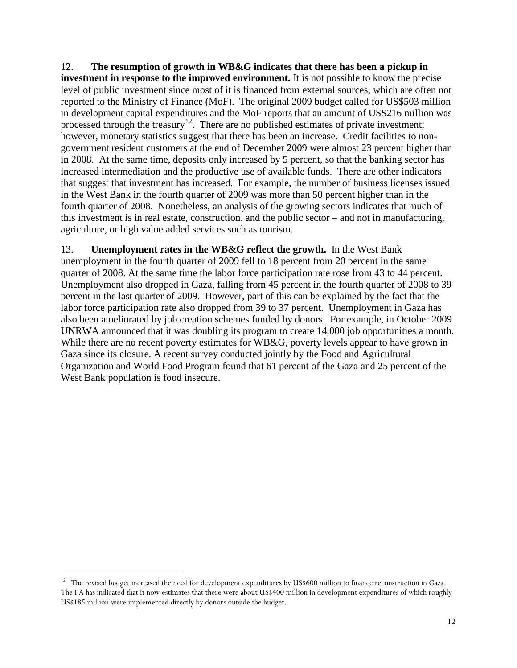12. **The resumption of growth in WB&G indicates that there has been a pickup in investment in response to the improved environment.** It is not possible to know the precise level of public investment since most of it is financed from external sources, which are often not reported to the Ministry of Finance (MoF). The original 2009 budget called for US\$503 million in development capital expenditures and the MoF reports that an amount of US\$216 million was processed through the treasury<sup>[12](#page-11-0)</sup>. There are no published estimates of private investment; however, monetary statistics suggest that there has been an increase. Credit facilities to nongovernment resident customers at the end of December 2009 were almost 23 percent higher than in 2008. At the same time, deposits only increased by 5 percent, so that the banking sector has increased intermediation and the productive use of available funds. There are other indicators that suggest that investment has increased. For example, the number of business licenses issued in the West Bank in the fourth quarter of 2009 was more than 50 percent higher than in the fourth quarter of 2008. Nonetheless, an analysis of the growing sectors indicates that much of this investment is in real estate, construction, and the public sector – and not in manufacturing, agriculture, or high value added services such as tourism.

13. **Unemployment rates in the WB&G reflect the growth.** In the West Bank unemployment in the fourth quarter of 2009 fell to 18 percent from 20 percent in the same quarter of 2008. At the same time the labor force participation rate rose from 43 to 44 percent. Unemployment also dropped in Gaza, falling from 45 percent in the fourth quarter of 2008 to 39 percent in the last quarter of 2009. However, part of this can be explained by the fact that the labor force participation rate also dropped from 39 to 37 percent. Unemployment in Gaza has also been ameliorated by job creation schemes funded by donors. For example, in October 2009 UNRWA announced that it was doubling its program to create 14,000 job opportunities a month. While there are no recent poverty estimates for WB&G, poverty levels appear to have grown in Gaza since its closure. A recent survey conducted jointly by the Food and Agricultural Organization and World Food Program found that 61 percent of the Gaza and 25 percent of the West Bank population is food insecure.

<span id="page-11-0"></span> $12$  The revised budget increased the need for development expenditures by US\$600 million to finance reconstruction in Gaza. The PA has indicated that it now estimates that there were about US\$400 million in development expenditures of which roughly US\$185 million were implemented directly by donors outside the budget.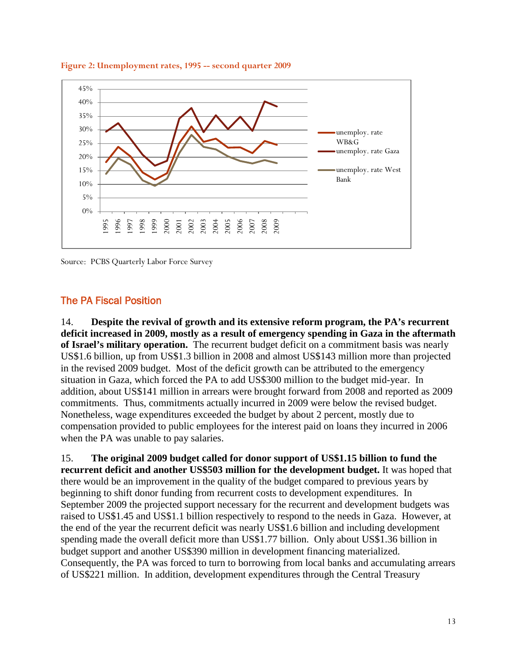

#### <span id="page-12-1"></span>**Figure 2: Unemployment rates, 1995 -- second quarter 2009**

Source: PCBS Quarterly Labor Force Survey

#### <span id="page-12-0"></span>The PA Fiscal Position

14. **Despite the revival of growth and its extensive reform program, the PA's recurrent deficit increased in 2009, mostly as a result of emergency spending in Gaza in the aftermath of Israel's military operation.** The recurrent budget deficit on a commitment basis was nearly US\$1.6 billion, up from US\$1.3 billion in 2008 and almost US\$143 million more than projected in the revised 2009 budget. Most of the deficit growth can be attributed to the emergency situation in Gaza, which forced the PA to add US\$300 million to the budget mid-year. In addition, about US\$141 million in arrears were brought forward from 2008 and reported as 2009 commitments. Thus, commitments actually incurred in 2009 were below the revised budget. Nonetheless, wage expenditures exceeded the budget by about 2 percent, mostly due to compensation provided to public employees for the interest paid on loans they incurred in 2006 when the PA was unable to pay salaries.

15. **The original 2009 budget called for donor support of US\$1.15 billion to fund the recurrent deficit and another US\$503 million for the development budget.** It was hoped that there would be an improvement in the quality of the budget compared to previous years by beginning to shift donor funding from recurrent costs to development expenditures. In September 2009 the projected support necessary for the recurrent and development budgets was raised to US\$1.45 and US\$1.1 billion respectively to respond to the needs in Gaza. However, at the end of the year the recurrent deficit was nearly US\$1.6 billion and including development spending made the overall deficit more than US\$1.77 billion. Only about US\$1.36 billion in budget support and another US\$390 million in development financing materialized. Consequently, the PA was forced to turn to borrowing from local banks and accumulating arrears of US\$221 million. In addition, development expenditures through the Central Treasury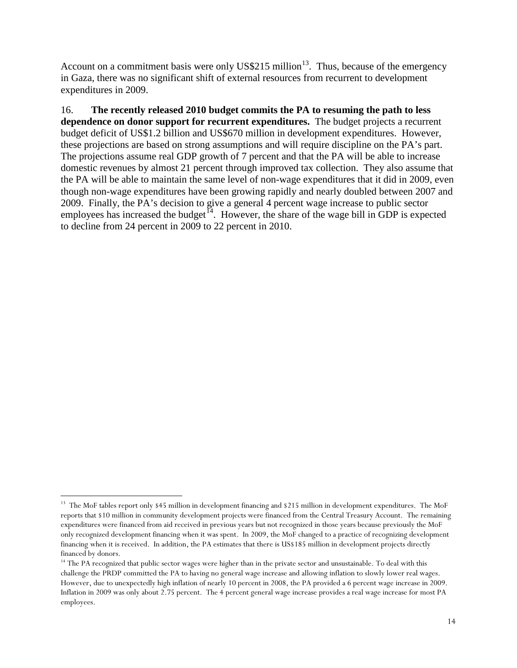Account on a commitment basis were only US\$215 million<sup>[13](#page-13-0)</sup>. Thus, because of the emergency in Gaza, there was no significant shift of external resources from recurrent to development expenditures in 2009.

16. **The recently released 2010 budget commits the PA to resuming the path to less dependence on donor support for recurrent expenditures.** The budget projects a recurrent budget deficit of US\$1.2 billion and US\$670 million in development expenditures. However, these projections are based on strong assumptions and will require discipline on the PA's part. The projections assume real GDP growth of 7 percent and that the PA will be able to increase domestic revenues by almost 21 percent through improved tax collection. They also assume that the PA will be able to maintain the same level of non-wage expenditures that it did in 2009, even though non-wage expenditures have been growing rapidly and nearly doubled between 2007 and 2009. Finally, the PA's decision to give a general 4 percent wage increase to public sector employees has increased the budget<sup> $14$ </sup>. However, the share of the wage bill in GDP is expected to decline from 24 percent in 2009 to 22 percent in 2010.

<span id="page-13-0"></span><sup>&</sup>lt;sup>13</sup> The MoF tables report only \$45 million in development financing and \$215 million in development expenditures. The MoF reports that \$10 million in community development projects were financed from the Central Treasury Account. The remaining expenditures were financed from aid received in previous years but not recognized in those years because previously the MoF only recognized development financing when it was spent. In 2009, the MoF changed to a practice of recognizing development financing when it is received. In addition, the PA estimates that there is US\$185 million in development projects directly financed by donors.

<span id="page-13-1"></span><sup>&</sup>lt;sup>14</sup> The PA recognized that public sector wages were higher than in the private sector and unsustainable. To deal with this challenge the PRDP committed the PA to having no general wage increase and allowing inflation to slowly lower real wages. However, due to unexpectedly high inflation of nearly 10 percent in 2008, the PA provided a 6 percent wage increase in 2009. Inflation in 2009 was only about 2.75 percent. The 4 percent general wage increase provides a real wage increase for most PA employees.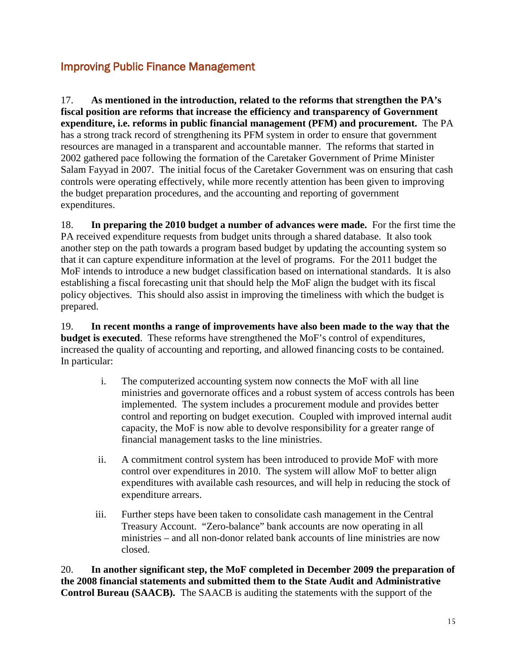# <span id="page-14-0"></span>Improving Public Finance Management

17. **As mentioned in the introduction, related to the reforms that strengthen the PA's fiscal position are reforms that increase the efficiency and transparency of Government expenditure, i.e. reforms in public financial management (PFM) and procurement.** The PA has a strong track record of strengthening its PFM system in order to ensure that government resources are managed in a transparent and accountable manner. The reforms that started in 2002 gathered pace following the formation of the Caretaker Government of Prime Minister Salam Fayyad in 2007. The initial focus of the Caretaker Government was on ensuring that cash controls were operating effectively, while more recently attention has been given to improving the budget preparation procedures, and the accounting and reporting of government expenditures.

18. **In preparing the 2010 budget a number of advances were made.** For the first time the PA received expenditure requests from budget units through a shared database. It also took another step on the path towards a program based budget by updating the accounting system so that it can capture expenditure information at the level of programs. For the 2011 budget the MoF intends to introduce a new budget classification based on international standards. It is also establishing a fiscal forecasting unit that should help the MoF align the budget with its fiscal policy objectives. This should also assist in improving the timeliness with which the budget is prepared.

19. **In recent months a range of improvements have also been made to the way that the budget is executed**. These reforms have strengthened the MoF's control of expenditures, increased the quality of accounting and reporting, and allowed financing costs to be contained. In particular:

- i. The computerized accounting system now connects the MoF with all line ministries and governorate offices and a robust system of access controls has been implemented. The system includes a procurement module and provides better control and reporting on budget execution. Coupled with improved internal audit capacity, the MoF is now able to devolve responsibility for a greater range of financial management tasks to the line ministries.
- ii. A commitment control system has been introduced to provide MoF with more control over expenditures in 2010. The system will allow MoF to better align expenditures with available cash resources, and will help in reducing the stock of expenditure arrears.
- iii. Further steps have been taken to consolidate cash management in the Central Treasury Account. "Zero-balance" bank accounts are now operating in all ministries – and all non-donor related bank accounts of line ministries are now closed.

20. **In another significant step, the MoF completed in December 2009 the preparation of the 2008 financial statements and submitted them to the State Audit and Administrative Control Bureau (SAACB).** The SAACB is auditing the statements with the support of the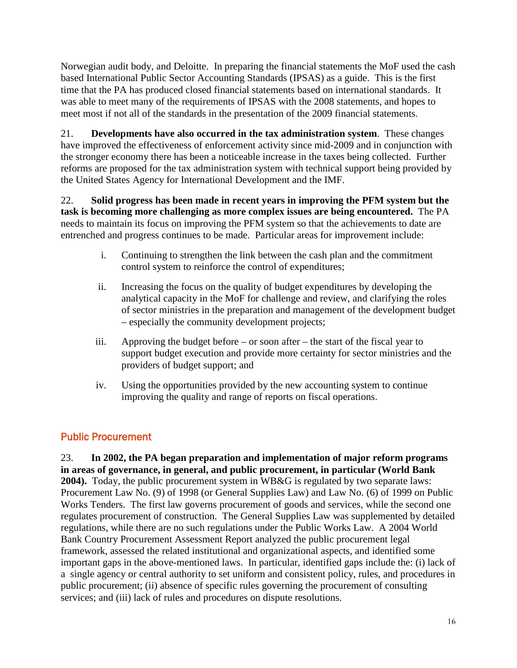Norwegian audit body, and Deloitte. In preparing the financial statements the MoF used the cash based International Public Sector Accounting Standards (IPSAS) as a guide. This is the first time that the PA has produced closed financial statements based on international standards. It was able to meet many of the requirements of IPSAS with the 2008 statements, and hopes to meet most if not all of the standards in the presentation of the 2009 financial statements.

21. **Developments have also occurred in the tax administration system**. These changes have improved the effectiveness of enforcement activity since mid-2009 and in conjunction with the stronger economy there has been a noticeable increase in the taxes being collected. Further reforms are proposed for the tax administration system with technical support being provided by the United States Agency for International Development and the IMF.

22. **Solid progress has been made in recent years in improving the PFM system but the task is becoming more challenging as more complex issues are being encountered.** The PA needs to maintain its focus on improving the PFM system so that the achievements to date are entrenched and progress continues to be made. Particular areas for improvement include:

- i. Continuing to strengthen the link between the cash plan and the commitment control system to reinforce the control of expenditures;
- ii. Increasing the focus on the quality of budget expenditures by developing the analytical capacity in the MoF for challenge and review, and clarifying the roles of sector ministries in the preparation and management of the development budget – especially the community development projects;
- iii. Approving the budget before or soon after the start of the fiscal year to support budget execution and provide more certainty for sector ministries and the providers of budget support; and
- iv. Using the opportunities provided by the new accounting system to continue improving the quality and range of reports on fiscal operations.

# <span id="page-15-0"></span>Public Procurement

23. **In 2002, the PA began preparation and implementation of major reform programs in areas of governance, in general, and public procurement, in particular (World Bank 2004).** Today, the public procurement system in WB&G is regulated by two separate laws: Procurement Law No. (9) of 1998 (or General Supplies Law) and Law No. (6) of 1999 on Public Works Tenders. The first law governs procurement of goods and services, while the second one regulates procurement of construction. The General Supplies Law was supplemented by detailed regulations, while there are no such regulations under the Public Works Law. A 2004 World Bank Country Procurement Assessment Report analyzed the public procurement legal framework, assessed the related institutional and organizational aspects, and identified some important gaps in the above-mentioned laws.In particular, identified gaps include the: (i) lack of a single agency or central authority to set uniform and consistent policy, rules, and procedures in public procurement; (ii) absence of specific rules governing the procurement of consulting services; and (iii) lack of rules and procedures on dispute resolutions.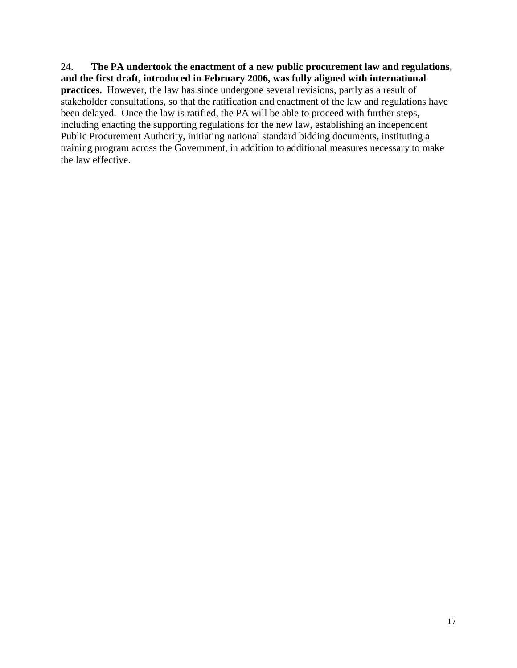24. **The PA undertook the enactment of a new public procurement law and regulations, and the first draft, introduced in February 2006, was fully aligned with international practices.** However, the law has since undergone several revisions, partly as a result of stakeholder consultations, so that the ratification and enactment of the law and regulations have been delayed. Once the law is ratified, the PA will be able to proceed with further steps, including enacting the supporting regulations for the new law, establishing an independent Public Procurement Authority, initiating national standard bidding documents, instituting a training program across the Government, in addition to additional measures necessary to make the law effective.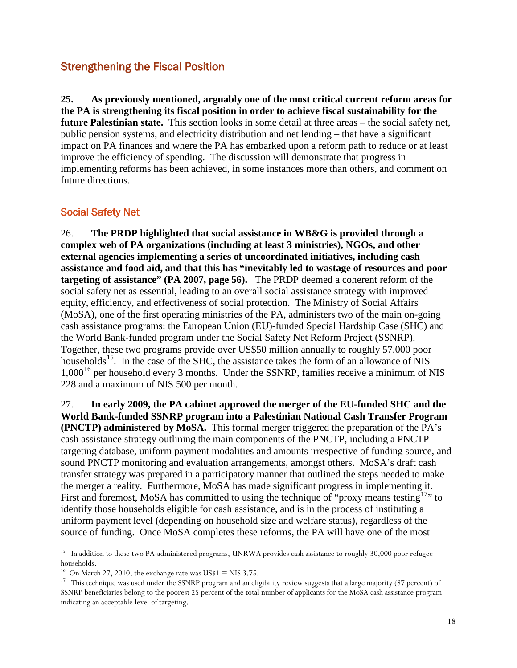# <span id="page-17-0"></span>Strengthening the Fiscal Position

**25. As previously mentioned, arguably one of the most critical current reform areas for the PA is strengthening its fiscal position in order to achieve fiscal sustainability for the future Palestinian state.** This section looks in some detail at three areas – the social safety net, public pension systems, and electricity distribution and net lending – that have a significant impact on PA finances and where the PA has embarked upon a reform path to reduce or at least improve the efficiency of spending. The discussion will demonstrate that progress in implementing reforms has been achieved, in some instances more than others, and comment on future directions.

### <span id="page-17-1"></span>Social Safety Net

26. **The PRDP highlighted that social assistance in WB&G is provided through a complex web of PA organizations (including at least 3 ministries), NGOs, and other external agencies implementing a series of uncoordinated initiatives, including cash assistance and food aid, and that this has "inevitably led to wastage of resources and poor targeting of assistance" (PA 2007, page 56).** The PRDP deemed a coherent reform of the social safety net as essential, leading to an overall social assistance strategy with improved equity, efficiency, and effectiveness of social protection. The Ministry of Social Affairs (MoSA), one of the first operating ministries of the PA, administers two of the main on-going cash assistance programs: the European Union (EU)-funded Special Hardship Case (SHC) and the World Bank-funded program under the Social Safety Net Reform Project (SSNRP). Together, these two programs provide over US\$50 million annually to roughly 57,000 poor households<sup>15</sup>. In the case of the SHC, the assistance takes the form of an allowance of NIS  $1,000^{16}$  $1,000^{16}$  $1,000^{16}$  per household every 3 months. Under the SSNRP, families receive a minimum of NIS 228 and a maximum of NIS 500 per month.

27. **In early 2009, the PA cabinet approved the merger of the EU-funded SHC and the World Bank-funded SSNRP program into a Palestinian National Cash Transfer Program (PNCTP) administered by MoSA.** This formal merger triggered the preparation of the PA's cash assistance strategy outlining the main components of the PNCTP, including a PNCTP targeting database, uniform payment modalities and amounts irrespective of funding source, and sound PNCTP monitoring and evaluation arrangements, amongst others. MoSA's draft cash transfer strategy was prepared in a participatory manner that outlined the steps needed to make the merger a reality. Furthermore, MoSA has made significant progress in implementing it. First and foremost, MoSA has committed to using the technique of "proxy means testing<sup>[17](#page-17-4)</sup>" to identify those households eligible for cash assistance, and is in the process of instituting a uniform payment level (depending on household size and welfare status), regardless of the source of funding. Once MoSA completes these reforms, the PA will have one of the most

<span id="page-17-2"></span><sup>&</sup>lt;sup>15</sup> In addition to these two PA-administered programs, UNRWA provides cash assistance to roughly 30,000 poor refugee households.

<sup>&</sup>lt;sup>16</sup> On March 27, 2010, the exchange rate was US\$1 = NIS 3.75.

<span id="page-17-4"></span><span id="page-17-3"></span><sup>&</sup>lt;sup>17</sup> This technique was used under the SSNRP program and an eligibility review suggests that a large majority (87 percent) of SSNRP beneficiaries belong to the poorest 25 percent of the total number of applicants for the MoSA cash assistance program – indicating an acceptable level of targeting.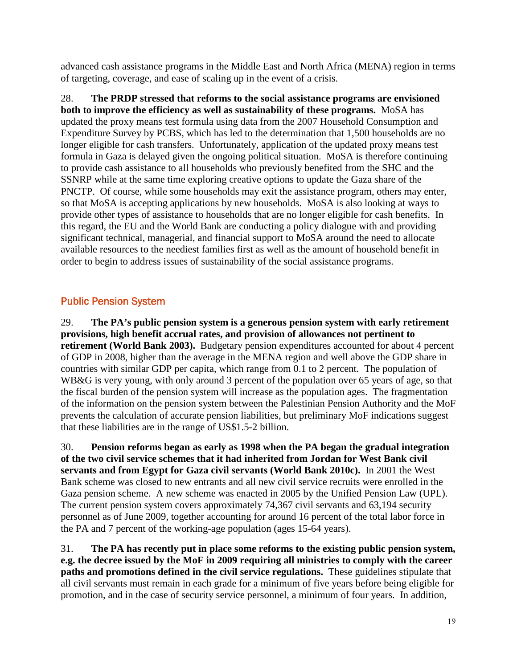advanced cash assistance programs in the Middle East and North Africa (MENA) region in terms of targeting, coverage, and ease of scaling up in the event of a crisis.

28. **The PRDP stressed that reforms to the social assistance programs are envisioned both to improve the efficiency as well as sustainability of these programs.** MoSA has updated the proxy means test formula using data from the 2007 Household Consumption and Expenditure Survey by PCBS, which has led to the determination that 1,500 households are no longer eligible for cash transfers. Unfortunately, application of the updated proxy means test formula in Gaza is delayed given the ongoing political situation. MoSA is therefore continuing to provide cash assistance to all households who previously benefited from the SHC and the SSNRP while at the same time exploring creative options to update the Gaza share of the PNCTP. Of course, while some households may exit the assistance program, others may enter, so that MoSA is accepting applications by new households. MoSA is also looking at ways to provide other types of assistance to households that are no longer eligible for cash benefits. In this regard, the EU and the World Bank are conducting a policy dialogue with and providing significant technical, managerial, and financial support to MoSA around the need to allocate available resources to the neediest families first as well as the amount of household benefit in order to begin to address issues of sustainability of the social assistance programs.

# <span id="page-18-0"></span>Public Pension System

29. **The PA's public pension system is a generous pension system with early retirement provisions, high benefit accrual rates, and provision of allowances not pertinent to retirement (World Bank 2003).** Budgetary pension expenditures accounted for about 4 percent of GDP in 2008, higher than the average in the MENA region and well above the GDP share in countries with similar GDP per capita, which range from 0.1 to 2 percent. The population of WB&G is very young, with only around 3 percent of the population over 65 years of age, so that the fiscal burden of the pension system will increase as the population ages. The fragmentation of the information on the pension system between the Palestinian Pension Authority and the MoF prevents the calculation of accurate pension liabilities, but preliminary MoF indications suggest that these liabilities are in the range of US\$1.5-2 billion.

30. **Pension reforms began as early as 1998 when the PA began the gradual integration of the two civil service schemes that it had inherited from Jordan for West Bank civil servants and from Egypt for Gaza civil servants (World Bank 2010c).** In 2001 the West Bank scheme was closed to new entrants and all new civil service recruits were enrolled in the Gaza pension scheme. A new scheme was enacted in 2005 by the Unified Pension Law (UPL). The current pension system covers approximately 74,367 civil servants and 63,194 security personnel as of June 2009, together accounting for around 16 percent of the total labor force in the PA and 7 percent of the working-age population (ages 15-64 years).

31. **The PA has recently put in place some reforms to the existing public pension system, e.g. the decree issued by the MoF in 2009 requiring all ministries to comply with the career paths and promotions defined in the civil service regulations.** These guidelines stipulate that all civil servants must remain in each grade for a minimum of five years before being eligible for promotion, and in the case of security service personnel, a minimum of four years. In addition,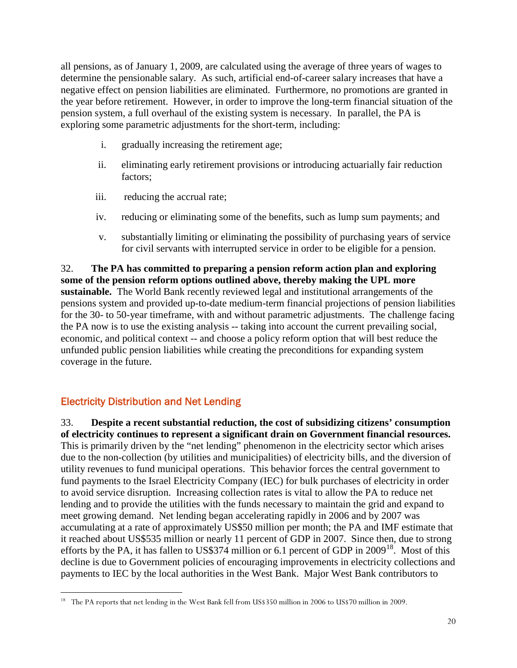all pensions, as of January 1, 2009, are calculated using the average of three years of wages to determine the pensionable salary. As such, artificial end-of-career salary increases that have a negative effect on pension liabilities are eliminated. Furthermore, no promotions are granted in the year before retirement. However, in order to improve the long-term financial situation of the pension system, a full overhaul of the existing system is necessary. In parallel, the PA is exploring some parametric adjustments for the short-term, including:

- i. gradually increasing the retirement age;
- ii. eliminating early retirement provisions or introducing actuarially fair reduction factors;
- iii. reducing the accrual rate;
- iv. reducing or eliminating some of the benefits, such as lump sum payments; and
- v. substantially limiting or eliminating the possibility of purchasing years of service for civil servants with interrupted service in order to be eligible for a pension.

32. **The PA has committed to preparing a pension reform action plan and exploring some of the pension reform options outlined above, thereby making the UPL more sustainable.** The World Bank recently reviewed legal and institutional arrangements of the pensions system and provided up-to-date medium-term financial projections of pension liabilities for the 30- to 50-year timeframe, with and without parametric adjustments. The challenge facing the PA now is to use the existing analysis -- taking into account the current prevailing social, economic, and political context -- and choose a policy reform option that will best reduce the unfunded public pension liabilities while creating the preconditions for expanding system coverage in the future.

### <span id="page-19-0"></span>Electricity Distribution and Net Lending

33. **Despite a recent substantial reduction, the cost of subsidizing citizens' consumption of electricity continues to represent a significant drain on Government financial resources.**  This is primarily driven by the "net lending" phenomenon in the electricity sector which arises due to the non-collection (by utilities and municipalities) of electricity bills, and the diversion of utility revenues to fund municipal operations. This behavior forces the central government to fund payments to the Israel Electricity Company (IEC) for bulk purchases of electricity in order to avoid service disruption. Increasing collection rates is vital to allow the PA to reduce net lending and to provide the utilities with the funds necessary to maintain the grid and expand to meet growing demand. Net lending began accelerating rapidly in 2006 and by 2007 was accumulating at a rate of approximately US\$50 million per month; the PA and IMF estimate that it reached about US\$535 million or nearly 11 percent of GDP in 2007. Since then, due to strong efforts by the PA, it has fallen to US\$374 million or 6.1 percent of GDP in 2009<sup>[18](#page-19-1)</sup>. Most of this decline is due to Government policies of encouraging improvements in electricity collections and payments to IEC by the local authorities in the West Bank. Major West Bank contributors to

<span id="page-19-1"></span><sup>&</sup>lt;sup>18</sup> The PA reports that net lending in the West Bank fell from US\$350 million in 2006 to US\$70 million in 2009.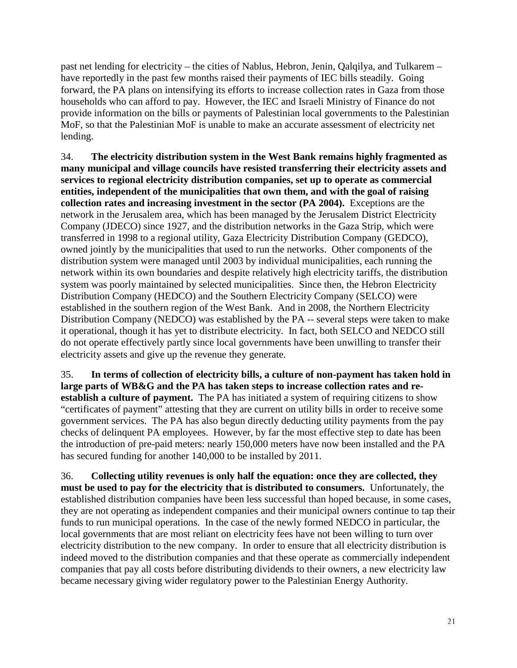past net lending for electricity – the cities of Nablus, Hebron, Jenin, Qalqilya, and Tulkarem – have reportedly in the past few months raised their payments of IEC bills steadily. Going forward, the PA plans on intensifying its efforts to increase collection rates in Gaza from those households who can afford to pay. However, the IEC and Israeli Ministry of Finance do not provide information on the bills or payments of Palestinian local governments to the Palestinian MoF, so that the Palestinian MoF is unable to make an accurate assessment of electricity net lending.

34. **The electricity distribution system in the West Bank remains highly fragmented as many municipal and village councils have resisted transferring their electricity assets and services to regional electricity distribution companies, set up to operate as commercial entities, independent of the municipalities that own them, and with the goal of raising collection rates and increasing investment in the sector (PA 2004).** Exceptions are the network in the Jerusalem area, which has been managed by the Jerusalem District Electricity Company (JDECO) since 1927, and the distribution networks in the Gaza Strip, which were transferred in 1998 to a regional utility, Gaza Electricity Distribution Company (GEDCO), owned jointly by the municipalities that used to run the networks. Other components of the distribution system were managed until 2003 by individual municipalities, each running the network within its own boundaries and despite relatively high electricity tariffs, the distribution system was poorly maintained by selected municipalities. Since then, the Hebron Electricity Distribution Company (HEDCO) and the Southern Electricity Company (SELCO) were established in the southern region of the West Bank. And in 2008, the Northern Electricity Distribution Company (NEDCO) was established by the PA -- several steps were taken to make it operational, though it has yet to distribute electricity. In fact, both SELCO and NEDCO still do not operate effectively partly since local governments have been unwilling to transfer their electricity assets and give up the revenue they generate.

35. **In terms of collection of electricity bills, a culture of non-payment has taken hold in large parts of WB&G and the PA has taken steps to increase collection rates and reestablish a culture of payment.** The PA has initiated a system of requiring citizens to show "certificates of payment" attesting that they are current on utility bills in order to receive some government services. The PA has also begun directly deducting utility payments from the pay checks of delinquent PA employees. However, by far the most effective step to date has been the introduction of pre-paid meters: nearly 150,000 meters have now been installed and the PA has secured funding for another 140,000 to be installed by 2011.

36. **Collecting utility revenues is only half the equation: once they are collected, they must be used to pay for the electricity that is distributed to consumers.** Unfortunately, the established distribution companies have been less successful than hoped because, in some cases, they are not operating as independent companies and their municipal owners continue to tap their funds to run municipal operations.In the case of the newly formed NEDCO in particular, the local governments that are most reliant on electricity fees have not been willing to turn over electricity distribution to the new company. In order to ensure that all electricity distribution is indeed moved to the distribution companies and that these operate as commercially independent companies that pay all costs before distributing dividends to their owners, a new electricity law became necessary giving wider regulatory power to the Palestinian Energy Authority.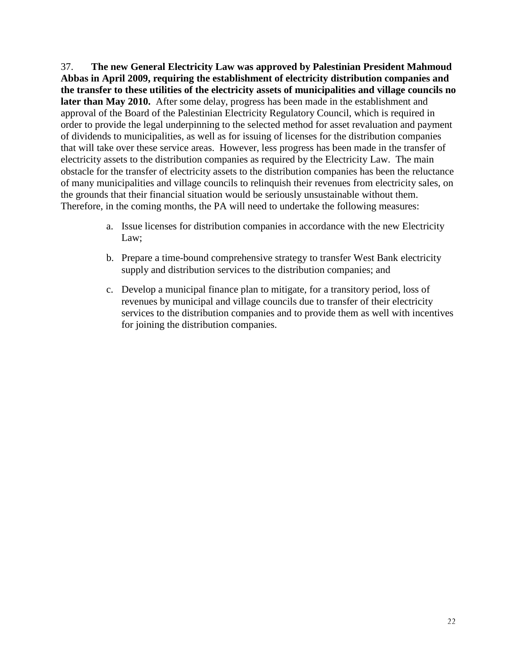37. **The new General Electricity Law was approved by Palestinian President Mahmoud Abbas in April 2009, requiring the establishment of electricity distribution companies and the transfer to these utilities of the electricity assets of municipalities and village councils no later than May 2010.** After some delay, progress has been made in the establishment and approval of the Board of the Palestinian Electricity Regulatory Council, which is required in order to provide the legal underpinning to the selected method for asset revaluation and payment of dividends to municipalities, as well as for issuing of licenses for the distribution companies that will take over these service areas. However, less progress has been made in the transfer of electricity assets to the distribution companies as required by the Electricity Law. The main obstacle for the transfer of electricity assets to the distribution companies has been the reluctance of many municipalities and village councils to relinquish their revenues from electricity sales, on the grounds that their financial situation would be seriously unsustainable without them. Therefore, in the coming months, the PA will need to undertake the following measures:

- a. Issue licenses for distribution companies in accordance with the new Electricity Law;
- b. Prepare a time-bound comprehensive strategy to transfer West Bank electricity supply and distribution services to the distribution companies; and
- c. Develop a municipal finance plan to mitigate, for a transitory period, loss of revenues by municipal and village councils due to transfer of their electricity services to the distribution companies and to provide them as well with incentives for joining the distribution companies.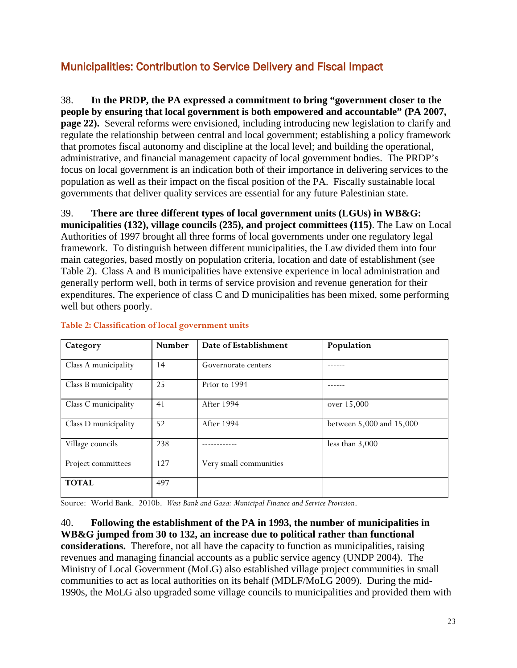# <span id="page-22-0"></span>Municipalities: Contribution to Service Delivery and Fiscal Impact

38. **In the PRDP, the PA expressed a commitment to bring "government closer to the people by ensuring that local government is both empowered and accountable" (PA 2007, page 22).** Several reforms were envisioned, including introducing new legislation to clarify and regulate the relationship between central and local government; establishing a policy framework that promotes fiscal autonomy and discipline at the local level; and building the operational, administrative, and financial management capacity of local government bodies. The PRDP's focus on local government is an indication both of their importance in delivering services to the population as well as their impact on the fiscal position of the PA. Fiscally sustainable local governments that deliver quality services are essential for any future Palestinian state.

39. **There are three different types of local government units (LGUs) in WB&G: municipalities (132), village councils (235), and project committees (115)**. The Law on Local Authorities of 1997 brought all three forms of local governments under one regulatory legal framework. To distinguish between different municipalities, the Law divided them into four main categories, based mostly on population criteria, location and date of establishment (see Table 2). Class A and B municipalities have extensive experience in local administration and generally perform well, both in terms of service provision and revenue generation for their expenditures. The experience of class C and D municipalities has been mixed, some performing well but others poorly.

| Category             | <b>Number</b> | Date of Establishment  | Population               |
|----------------------|---------------|------------------------|--------------------------|
| Class A municipality | 14            | Governorate centers    |                          |
| Class B municipality | 25            | Prior to 1994          |                          |
| Class C municipality | 41            | <b>After 1994</b>      | over 15,000              |
| Class D municipality | 52            | <b>After 1994</b>      | between 5,000 and 15,000 |
| Village councils     | 238           |                        | less than $3,000$        |
| Project committees   | 127           | Very small communities |                          |
| <b>TOTAL</b>         | 497           |                        |                          |

#### <span id="page-22-1"></span>**Table 2: Classification of local government units**

Source: World Bank. 2010b. *West Bank and Gaza: Municipal Finance and Service Provision*.

40. **Following the establishment of the PA in 1993, the number of municipalities in WB&G jumped from 30 to 132, an increase due to political rather than functional considerations.** Therefore, not all have the capacity to function as municipalities, raising revenues and managing financial accounts as a public service agency (UNDP 2004). The Ministry of Local Government (MoLG) also established village project communities in small communities to act as local authorities on its behalf (MDLF/MoLG 2009). During the mid-1990s, the MoLG also upgraded some village councils to municipalities and provided them with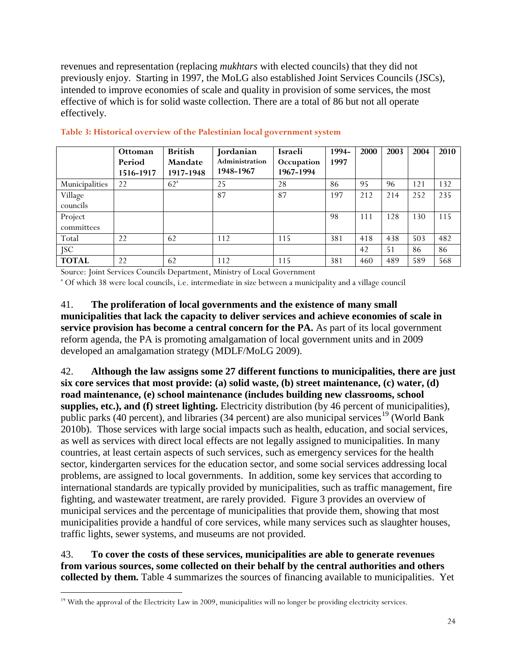revenues and representation (replacing *mukhtars* with elected councils) that they did not previously enjoy. Starting in 1997, the MoLG also established Joint Services Councils (JSCs), intended to improve economies of scale and quality in provision of some services, the most effective of which is for solid waste collection. There are a total of 86 but not all operate effectively.

|                | <b>Ottoman</b> | <b>British</b> | Jordanian             | Israeli    | 1994- | 2000 | 2003 | 2004 | 2010 |
|----------------|----------------|----------------|-----------------------|------------|-------|------|------|------|------|
|                | Period         | <b>Mandate</b> | <b>Administration</b> | Occupation | 1997  |      |      |      |      |
|                | 1516-1917      | 1917-1948      | 1948-1967             | 1967-1994  |       |      |      |      |      |
| Municipalities | 22             | $62^{\circ}$   | 25                    | 28         | 86    | 95   | 96   | 121  | 132  |
| Village        |                |                | 87                    | 87         | 197   | 212  | 214  | 252  | 235  |
| councils       |                |                |                       |            |       |      |      |      |      |
| Project        |                |                |                       |            | 98    | 111  | 128  | 130  | 115  |
| committees     |                |                |                       |            |       |      |      |      |      |
| Total          | 22             | 62             | 112                   | 115        | 381   | 418  | 438  | 503  | 482  |
| JSC            |                |                |                       |            |       | 42   | 51   | 86   | 86   |
| <b>TOTAL</b>   | 22             | 62             | 112                   | 115        | 381   | 460  | 489  | 589  | 568  |

### <span id="page-23-0"></span>**Table 3: Historical overview of the Palestinian local government system**

Source: Joint Services Councils Department, Ministry of Local Government

<sup>a</sup> Of which 38 were local councils, i.e. intermediate in size between a municipality and a village council

41. **The proliferation of local governments and the existence of many small municipalities that lack the capacity to deliver services and achieve economies of scale in service provision has become a central concern for the PA.** As part of its local government reform agenda, the PA is promoting amalgamation of local government units and in 2009 developed an amalgamation strategy (MDLF/MoLG 2009).

42. **Although the law assigns some 27 different functions to municipalities, there are just six core services that most provide: (a) solid waste, (b) street maintenance, (c) water, (d) road maintenance, (e) school maintenance (includes building new classrooms, school supplies, etc.), and (f) street lighting.** Electricity distribution (by 46 percent of municipalities), public parks (40 percent), and libraries (34 percent) are also municipal services<sup>[19](#page-23-1)</sup> (World Bank 2010b). Those services with large social impacts such as health, education, and social services, as well as services with direct local effects are not legally assigned to municipalities. In many countries, at least certain aspects of such services, such as emergency services for the health sector, kindergarten services for the education sector, and some social services addressing local problems, are assigned to local governments. In addition, some key services that according to international standards are typically provided by municipalities, such as traffic management, fire fighting, and wastewater treatment, are rarely provided. Figure 3 provides an overview of municipal services and the percentage of municipalities that provide them, showing that most municipalities provide a handful of core services, while many services such as slaughter houses, traffic lights, sewer systems, and museums are not provided.

43. **To cover the costs of these services, municipalities are able to generate revenues from various sources, some collected on their behalf by the central authorities and others collected by them.** Table 4 summarizes the sources of financing available to municipalities. Yet

<span id="page-23-1"></span><sup>&</sup>lt;sup>19</sup> With the approval of the Electricity Law in 2009, municipalities will no longer be providing electricity services.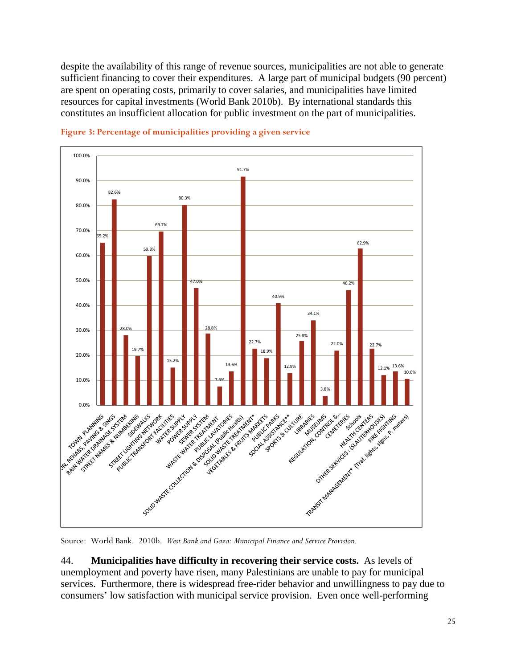despite the availability of this range of revenue sources, municipalities are not able to generate sufficient financing to cover their expenditures. A large part of municipal budgets (90 percent) are spent on operating costs, primarily to cover salaries, and municipalities have limited resources for capital investments (World Bank 2010b). By international standards this constitutes an insufficient allocation for public investment on the part of municipalities.



<span id="page-24-0"></span>**Figure 3: Percentage of municipalities providing a given service**

Source: World Bank. 2010b. *West Bank and Gaza: Municipal Finance and Service Provision*.

44. **Municipalities have difficulty in recovering their service costs.** As levels of unemployment and poverty have risen, many Palestinians are unable to pay for municipal services. Furthermore, there is widespread free-rider behavior and unwillingness to pay due to consumers' low satisfaction with municipal service provision. Even once well-performing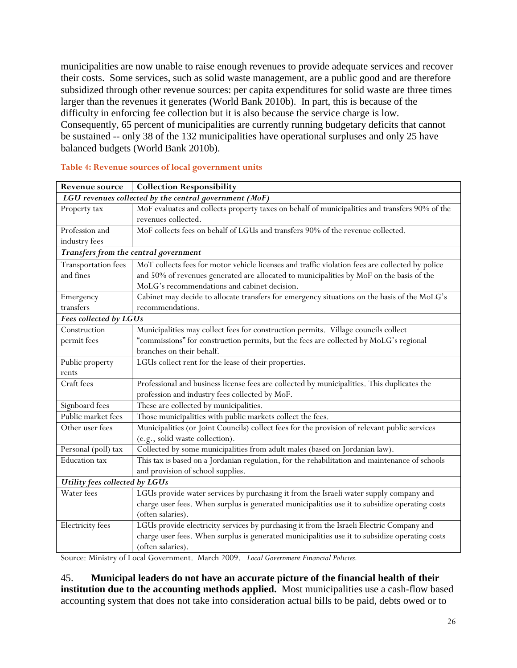municipalities are now unable to raise enough revenues to provide adequate services and recover their costs. Some services, such as solid waste management, are a public good and are therefore subsidized through other revenue sources: per capita expenditures for solid waste are three times larger than the revenues it generates (World Bank 2010b). In part, this is because of the difficulty in enforcing fee collection but it is also because the service charge is low. Consequently, 65 percent of municipalities are currently running budgetary deficits that cannot be sustained -- only 38 of the 132 municipalities have operational surpluses and only 25 have balanced budgets (World Bank 2010b).

| <b>Revenue source</b>                                  | <b>Collection Responsibility</b>                                                                |  |  |  |
|--------------------------------------------------------|-------------------------------------------------------------------------------------------------|--|--|--|
| LGU revenues collected by the central government (MoF) |                                                                                                 |  |  |  |
| Property tax                                           | MoF evaluates and collects property taxes on behalf of municipalities and transfers 90% of the  |  |  |  |
|                                                        | revenues collected.                                                                             |  |  |  |
| Profession and                                         | MoF collects fees on behalf of LGUs and transfers 90% of the revenue collected.                 |  |  |  |
| industry fees                                          |                                                                                                 |  |  |  |
|                                                        | Transfers from the central government                                                           |  |  |  |
| <b>Transportation fees</b>                             | MoT collects fees for motor vehicle licenses and traffic violation fees are collected by police |  |  |  |
| and fines                                              | and 50% of revenues generated are allocated to municipalities by MoF on the basis of the        |  |  |  |
|                                                        | MoLG's recommendations and cabinet decision.                                                    |  |  |  |
| Emergency                                              | Cabinet may decide to allocate transfers for emergency situations on the basis of the MoLG's    |  |  |  |
| transfers                                              | recommendations.                                                                                |  |  |  |
| Fees collected by LGUs                                 |                                                                                                 |  |  |  |
| Construction                                           | Municipalities may collect fees for construction permits. Village councils collect              |  |  |  |
| permit fees                                            | "commissions" for construction permits, but the fees are collected by MoLG's regional           |  |  |  |
|                                                        | branches on their behalf.                                                                       |  |  |  |
| Public property                                        | LGUs collect rent for the lease of their properties.                                            |  |  |  |
| rents                                                  |                                                                                                 |  |  |  |
| Craft fees                                             | Professional and business license fees are collected by municipalities. This duplicates the     |  |  |  |
|                                                        | profession and industry fees collected by MoF.                                                  |  |  |  |
| Signboard fees                                         | These are collected by municipalities.                                                          |  |  |  |
| Public market fees                                     | Those municipalities with public markets collect the fees.                                      |  |  |  |
| Other user fees                                        | Municipalities (or Joint Councils) collect fees for the provision of relevant public services   |  |  |  |
|                                                        | (e.g., solid waste collection).                                                                 |  |  |  |
| Personal (poll) tax                                    | Collected by some municipalities from adult males (based on Jordanian law).                     |  |  |  |
| Education tax                                          | This tax is based on a Jordanian regulation, for the rehabilitation and maintenance of schools  |  |  |  |
|                                                        | and provision of school supplies.                                                               |  |  |  |
| Utility fees collected by LGUs                         |                                                                                                 |  |  |  |
| Water fees                                             | LGUs provide water services by purchasing it from the Israeli water supply company and          |  |  |  |
|                                                        | charge user fees. When surplus is generated municipalities use it to subsidize operating costs  |  |  |  |
|                                                        | (often salaries).                                                                               |  |  |  |
| Electricity fees                                       | LGUs provide electricity services by purchasing it from the Israeli Electric Company and        |  |  |  |
|                                                        | charge user fees. When surplus is generated municipalities use it to subsidize operating costs  |  |  |  |
|                                                        | (often salaries).                                                                               |  |  |  |

#### <span id="page-25-0"></span>**Table 4: Revenue sources of local government units**

Source: Ministry of Local Government. March 2009. *Local Government Financial Policies.*

45. **Municipal leaders do not have an accurate picture of the financial health of their institution due to the accounting methods applied.** Most municipalities use a cash-flow based accounting system that does not take into consideration actual bills to be paid, debts owed or to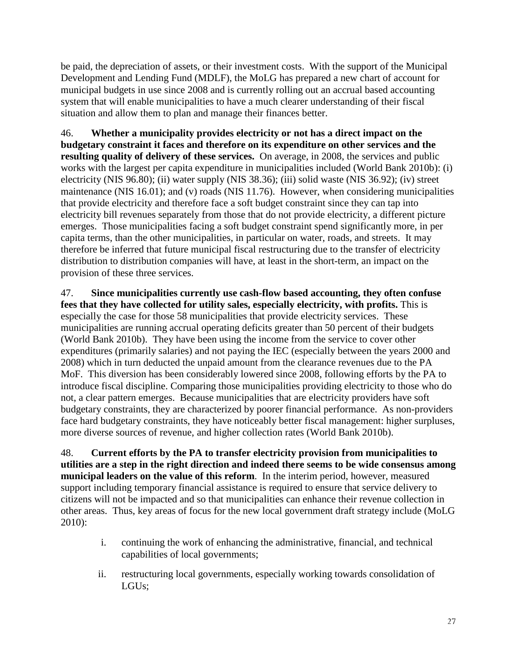be paid, the depreciation of assets, or their investment costs. With the support of the Municipal Development and Lending Fund (MDLF), the MoLG has prepared a new chart of account for municipal budgets in use since 2008 and is currently rolling out an accrual based accounting system that will enable municipalities to have a much clearer understanding of their fiscal situation and allow them to plan and manage their finances better.

46. **Whether a municipality provides electricity or not has a direct impact on the budgetary constraint it faces and therefore on its expenditure on other services and the resulting quality of delivery of these services.** On average, in 2008, the services and public works with the largest per capita expenditure in municipalities included (World Bank 2010b): (i) electricity (NIS 96.80); (ii) water supply (NIS 38.36); (iii) solid waste (NIS 36.92); (iv) street maintenance (NIS 16.01); and (v) roads (NIS 11.76). However, when considering municipalities that provide electricity and therefore face a soft budget constraint since they can tap into electricity bill revenues separately from those that do not provide electricity, a different picture emerges. Those municipalities facing a soft budget constraint spend significantly more, in per capita terms, than the other municipalities, in particular on water, roads, and streets. It may therefore be inferred that future municipal fiscal restructuring due to the transfer of electricity distribution to distribution companies will have, at least in the short-term, an impact on the provision of these three services.

47. **Since municipalities currently use cash-flow based accounting, they often confuse fees that they have collected for utility sales, especially electricity, with profits.** This is especially the case for those 58 municipalities that provide electricity services. These municipalities are running accrual operating deficits greater than 50 percent of their budgets (World Bank 2010b). They have been using the income from the service to cover other expenditures (primarily salaries) and not paying the IEC (especially between the years 2000 and 2008) which in turn deducted the unpaid amount from the clearance revenues due to the PA MoF. This diversion has been considerably lowered since 2008, following efforts by the PA to introduce fiscal discipline. Comparing those municipalities providing electricity to those who do not, a clear pattern emerges. Because municipalities that are electricity providers have soft budgetary constraints, they are characterized by poorer financial performance. As non-providers face hard budgetary constraints, they have noticeably better fiscal management: higher surpluses, more diverse sources of revenue, and higher collection rates (World Bank 2010b).

48. **Current efforts by the PA to transfer electricity provision from municipalities to utilities are a step in the right direction and indeed there seems to be wide consensus among municipal leaders on the value of this reform**. In the interim period, however, measured support including temporary financial assistance is required to ensure that service delivery to citizens will not be impacted and so that municipalities can enhance their revenue collection in other areas. Thus, key areas of focus for the new local government draft strategy include (MoLG 2010):

- i. continuing the work of enhancing the administrative, financial, and technical capabilities of local governments;
- ii. restructuring local governments, especially working towards consolidation of LGUs;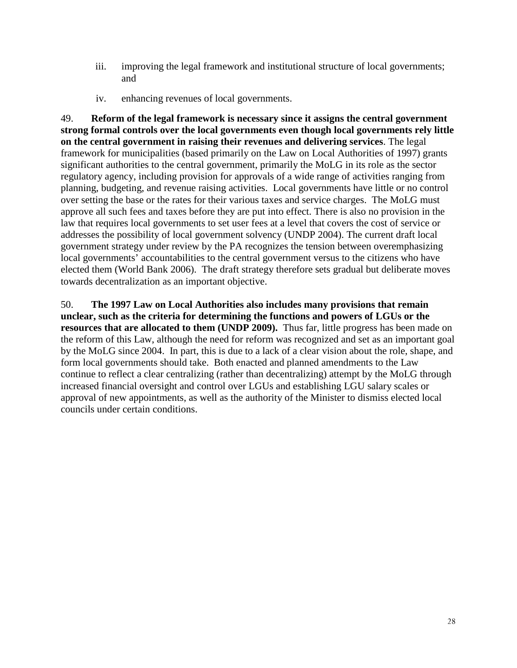- iii. improving the legal framework and institutional structure of local governments; and
- iv. enhancing revenues of local governments.

49. **Reform of the legal framework is necessary since it assigns the central government strong formal controls over the local governments even though local governments rely little on the central government in raising their revenues and delivering services**. The legal framework for municipalities (based primarily on the Law on Local Authorities of 1997) grants significant authorities to the central government, primarily the MoLG in its role as the sector regulatory agency, including provision for approvals of a wide range of activities ranging from planning, budgeting, and revenue raising activities. Local governments have little or no control over setting the base or the rates for their various taxes and service charges. The MoLG must approve all such fees and taxes before they are put into effect. There is also no provision in the law that requires local governments to set user fees at a level that covers the cost of service or addresses the possibility of local government solvency (UNDP 2004). The current draft local government strategy under review by the PA recognizes the tension between overemphasizing local governments' accountabilities to the central government versus to the citizens who have elected them (World Bank 2006). The draft strategy therefore sets gradual but deliberate moves towards decentralization as an important objective.

50. **The 1997 Law on Local Authorities also includes many provisions that remain unclear, such as the criteria for determining the functions and powers of LGUs or the resources that are allocated to them (UNDP 2009).** Thus far, little progress has been made on the reform of this Law, although the need for reform was recognized and set as an important goal by the MoLG since 2004. In part, this is due to a lack of a clear vision about the role, shape, and form local governments should take. Both enacted and planned amendments to the Law continue to reflect a clear centralizing (rather than decentralizing) attempt by the MoLG through increased financial oversight and control over LGUs and establishing LGU salary scales or approval of new appointments, as well as the authority of the Minister to dismiss elected local councils under certain conditions.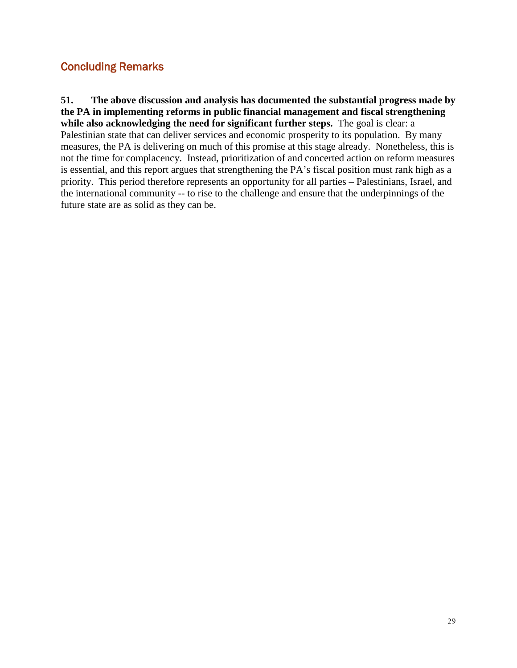# <span id="page-28-0"></span>Concluding Remarks

**51. The above discussion and analysis has documented the substantial progress made by the PA in implementing reforms in public financial management and fiscal strengthening while also acknowledging the need for significant further steps.** The goal is clear: a Palestinian state that can deliver services and economic prosperity to its population. By many measures, the PA is delivering on much of this promise at this stage already. Nonetheless, this is not the time for complacency. Instead, prioritization of and concerted action on reform measures is essential, and this report argues that strengthening the PA's fiscal position must rank high as a priority. This period therefore represents an opportunity for all parties – Palestinians, Israel, and the international community -- to rise to the challenge and ensure that the underpinnings of the future state are as solid as they can be.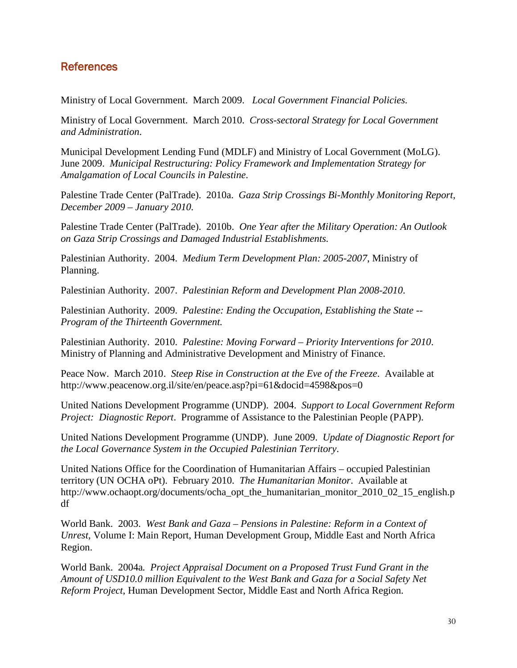# <span id="page-29-0"></span>References

Ministry of Local Government. March 2009. *Local Government Financial Policies.*

Ministry of Local Government. March 2010. *Cross-sectoral Strategy for Local Government and Administration*.

Municipal Development Lending Fund (MDLF) and Ministry of Local Government (MoLG). June 2009. *Municipal Restructuring: Policy Framework and Implementation Strategy for Amalgamation of Local Councils in Palestine*.

Palestine Trade Center (PalTrade). 2010a. *Gaza Strip Crossings Bi-Monthly Monitoring Report, December 2009 – January 2010.*

Palestine Trade Center (PalTrade). 2010b. *One Year after the Military Operation: An Outlook on Gaza Strip Crossings and Damaged Industrial Establishments.*

Palestinian Authority. 2004. *Medium Term Development Plan: 2005-2007*, Ministry of Planning.

Palestinian Authority. 2007. *Palestinian Reform and Development Plan 2008-2010*.

Palestinian Authority. 2009. *Palestine: Ending the Occupation, Establishing the State -- Program of the Thirteenth Government.*

Palestinian Authority. 2010. *Palestine: Moving Forward – Priority Interventions for 2010*. Ministry of Planning and Administrative Development and Ministry of Finance.

Peace Now. March 2010. *Steep Rise in Construction at the Eve of the Freeze*. Available at http://www.peacenow.org.il/site/en/peace.asp?pi=61&docid=4598&pos=0

United Nations Development Programme (UNDP). 2004. *Support to Local Government Reform Project: Diagnostic Report*. Programme of Assistance to the Palestinian People (PAPP).

United Nations Development Programme (UNDP). June 2009. *Update of Diagnostic Report for the Local Governance System in the Occupied Palestinian Territory*.

United Nations Office for the Coordination of Humanitarian Affairs – occupied Palestinian territory (UN OCHA oPt). February 2010. *The Humanitarian Monitor*. Available at http://www.ochaopt.org/documents/ocha\_opt\_the\_humanitarian\_monitor\_2010\_02\_15\_english.p df

World Bank. 2003. *West Bank and Gaza – Pensions in Palestine: Reform in a Context of Unrest*, Volume I: Main Report, Human Development Group, Middle East and North Africa Region.

World Bank. 2004a*. Project Appraisal Document on a Proposed Trust Fund Grant in the Amount of USD10.0 million Equivalent to the West Bank and Gaza for a Social Safety Net Reform Project*, Human Development Sector, Middle East and North Africa Region.